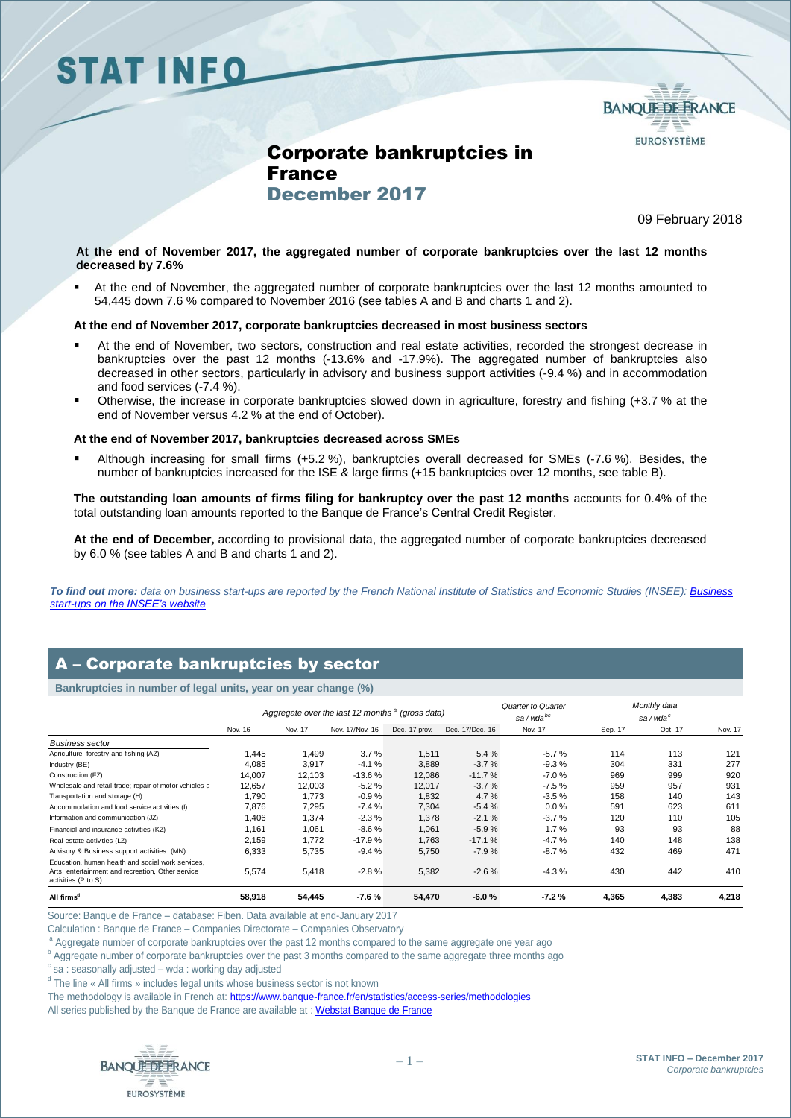## **STAT INFO**



## Corporate bankruptcies in France December 2017

09 February 2018

### **At the end of November 2017, the aggregated number of corporate bankruptcies over the last 12 months decreased by 7.6%**

 At the end of November, the aggregated number of corporate bankruptcies over the last 12 months amounted to 54,445 down 7.6 % compared to November 2016 (see tables A and B and charts 1 and 2).

### **At the end of November 2017, corporate bankruptcies decreased in most business sectors**

- At the end of November, two sectors, construction and real estate activities, recorded the strongest decrease in bankruptcies over the past 12 months (-13.6% and -17.9%). The aggregated number of bankruptcies also decreased in other sectors, particularly in advisory and business support activities (-9.4 %) and in accommodation and food services (-7.4 %).
- Otherwise, the increase in corporate bankruptcies slowed down in agriculture, forestry and fishing (+3.7 % at the end of November versus 4.2 % at the end of October).

#### **At the end of November 2017, bankruptcies decreased across SMEs**

 Although increasing for small firms (+5.2 %), bankruptcies overall decreased for SMEs (-7.6 %). Besides, the number of bankruptcies increased for the ISE & large firms (+15 bankruptcies over 12 months, see table B).

**The outstanding loan amounts of firms filing for bankruptcy over the past 12 months** accounts for 0.4% of the total outstanding loan amounts reported to the Banque de France's Central Credit Register.

**At the end of December,** according to provisional data, the aggregated number of corporate bankruptcies decreased by 6.0 % (see tables A and B and charts 1 and 2).

*To find out more: data on business start-ups are reported by the French National Institute of Statistics and Economic Studies (INSEE)[: Business](https://www.insee.fr/en/statistiques/3310165)  start-ups [on the INSEE's website](https://www.insee.fr/en/statistiques/3310165)*

## A – Corporate bankruptcies by sector

| A – Corporate bankruptcies by sector                                                                                          |                                                             |         |                 |               |                 |                                            |         |                                     |         |
|-------------------------------------------------------------------------------------------------------------------------------|-------------------------------------------------------------|---------|-----------------|---------------|-----------------|--------------------------------------------|---------|-------------------------------------|---------|
| Bankruptcies in number of legal units, year on year change (%)                                                                |                                                             |         |                 |               |                 |                                            |         |                                     |         |
|                                                                                                                               | Aggregate over the last 12 months <sup>a</sup> (gross data) |         |                 |               |                 | Quarter to Quarter<br>sa/wda <sup>bc</sup> |         | Monthly data<br>sa/wda <sup>c</sup> |         |
|                                                                                                                               | Nov. 16                                                     | Nov. 17 | Nov. 17/Nov. 16 | Dec. 17 prov. | Dec. 17/Dec. 16 | Nov. 17                                    | Sep. 17 | Oct. 17                             | Nov. 17 |
| <b>Business sector</b>                                                                                                        |                                                             |         |                 |               |                 |                                            |         |                                     |         |
| Agriculture, forestry and fishing (AZ)                                                                                        | 1,445                                                       | 1,499   | 3.7%            | 1,511         | 5.4 %           | $-5.7%$                                    | 114     | 113                                 | 121     |
| Industry (BE)                                                                                                                 | 4,085                                                       | 3,917   | $-4.1%$         | 3,889         | $-3.7%$         | $-9.3%$                                    | 304     | 331                                 | 277     |
| Construction (FZ)                                                                                                             | 14,007                                                      | 12.103  | $-13.6%$        | 12,086        | $-11.7%$        | $-7.0%$                                    | 969     | 999                                 | 920     |
| Wholesale and retail trade; repair of motor vehicles a                                                                        | 12,657                                                      | 12,003  | $-5.2%$         | 12,017        | $-3.7%$         | $-7.5%$                                    | 959     | 957                                 | 931     |
| Transportation and storage (H)                                                                                                | 1,790                                                       | 1,773   | $-0.9%$         | 1,832         | 4.7%            | $-3.5%$                                    | 158     | 140                                 | 143     |
| Accommodation and food service activities (I)                                                                                 | 7,876                                                       | 7,295   | $-7.4%$         | 7,304         | $-5.4%$         | $0.0 \%$                                   | 591     | 623                                 | 611     |
| Information and communication (JZ)                                                                                            | 1,406                                                       | 1,374   | $-2.3%$         | 1,378         | $-2.1%$         | $-3.7%$                                    | 120     | 110                                 | 105     |
| Financial and insurance activities (KZ)                                                                                       | 1,161                                                       | 1,061   | $-8.6%$         | 1,061         | $-5.9%$         | 1.7%                                       | 93      | 93                                  | 88      |
| Real estate activities (LZ)                                                                                                   | 2,159                                                       | 1.772   | $-17.9%$        | 1,763         | $-17.1%$        | $-4.7%$                                    | 140     | 148                                 | 138     |
| Advisory & Business support activities (MN)                                                                                   | 6,333                                                       | 5,735   | $-9.4%$         | 5,750         | $-7.9%$         | $-8.7%$                                    | 432     | 469                                 | 471     |
| Education, human health and social work services.<br>Arts, entertainment and recreation, Other service<br>activities (P to S) | 5,574                                                       | 5,418   | $-2.8%$         | 5,382         | $-2.6%$         | $-4.3%$                                    | 430     | 442                                 | 410     |
| All firms <sup>d</sup>                                                                                                        | 58,918                                                      | 54,445  | $-7.6%$         | 54,470        | $-6.0%$         | $-7.2%$                                    | 4,365   | 4,383                               | 4,218   |

Source: Banque de France – database: Fiben. Data available at end-January 2017

Calculation : Banque de France – Companies Directorate – Companies Observatory

Aggregate number of corporate bankruptcies over the past 12 months compared to the same aggregate one year ago

**b** Aggregate number of corporate bankruptcies over the past 3 months compared to the same aggregate three months ago

c sa : seasonally adjusted – wda : working day adjusted

<sup>d</sup> The line « All firms » includes legal units whose business sector is not known

The methodology is available in French at[: https://www.banque-france.fr/en/statistics/access-series/methodologies](https://www.banque-france.fr/en/statistics/access-series/methodologies)

All series published by the Banque de France are available at : [Webstat Banque de France](http://webstat.banque-france.fr/fr/home.do)